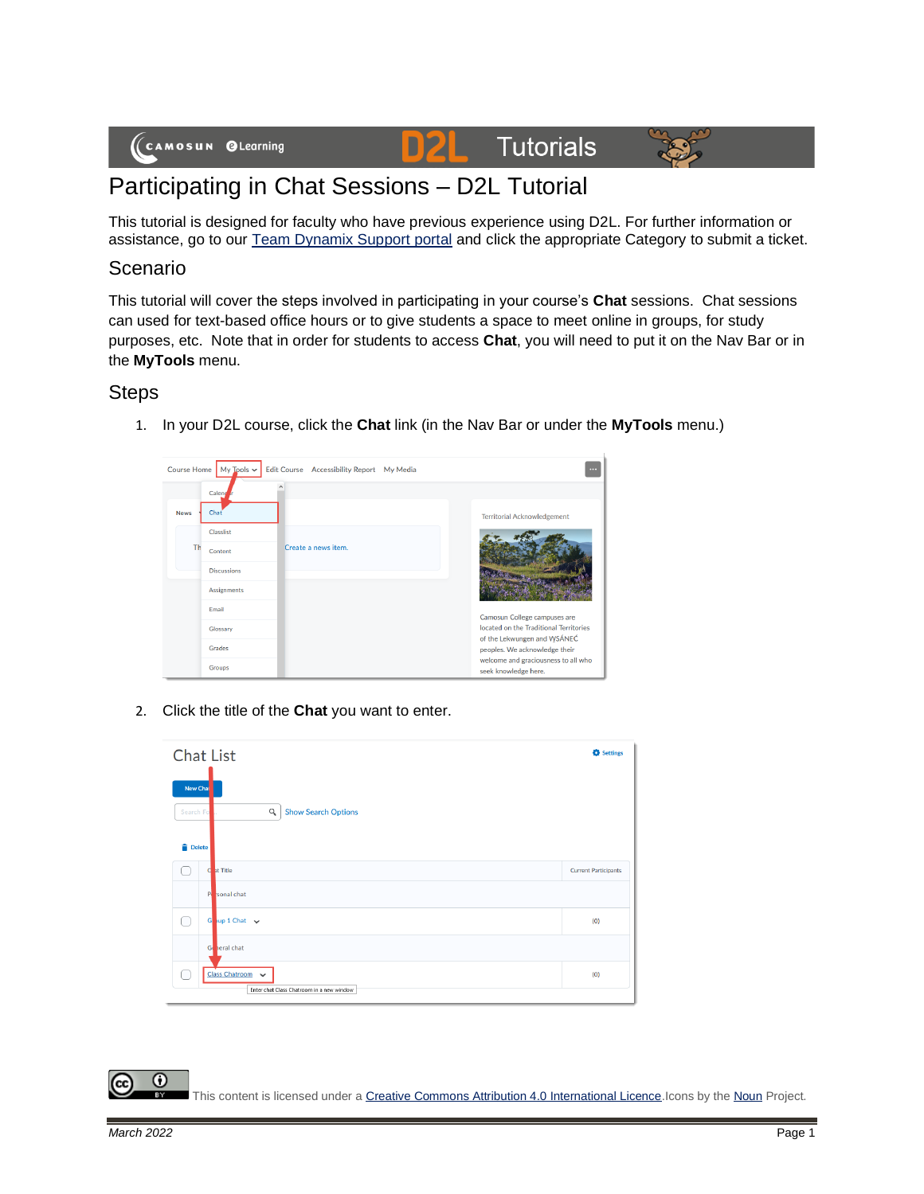# **Tutorials**



## Participating in Chat Sessions – D2L Tutorial

This tutorial is designed for faculty who have previous experience using D2L. For further information or assistance, go to our [Team Dynamix Support portal](https://camosun.teamdynamix.com/TDClient/67/Portal/Requests/ServiceCatalog?CategoryID=523) and click the appropriate Category to submit a ticket.

D

#### Scenario

This tutorial will cover the steps involved in participating in your course's **Chat** sessions. Chat sessions can used for text-based office hours or to give students a space to meet online in groups, for study purposes, etc. Note that in order for students to access **Chat**, you will need to put it on the Nav Bar or in the **MyTools** menu.

#### **Steps**

1. In your D2L course, click the **Chat** link (in the Nav Bar or under the **MyTools** menu.)



2. Click the title of the **Chat** you want to enter.

| <b>Chat List</b>                |                                                               | <b>C</b> Settings           |
|---------------------------------|---------------------------------------------------------------|-----------------------------|
| New Chai<br>Search Fo<br>Delete | $\alpha$<br><b>Show Search Options</b>                        |                             |
|                                 | C at Title                                                    | <b>Current Participants</b> |
|                                 | P sonal chat                                                  |                             |
| ∩                               | Goup 1 Chat $\sqrt{ }$                                        | (0)                         |
|                                 | General chat                                                  |                             |
|                                 | Class Chatroom v<br>Enter chat Class Chatroom in a new window | (0)                         |

0 This content is licensed under [a Creative Commons Attribution 4.0 International Licence.I](https://creativecommons.org/licenses/by/4.0/)cons by th[e Noun](https://creativecommons.org/website-icons/) Project.